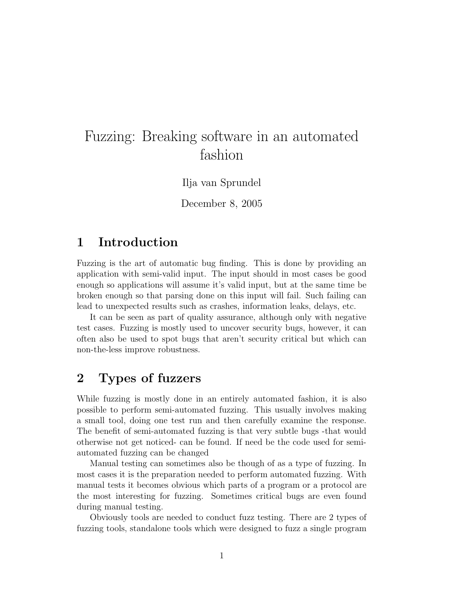# Fuzzing: Breaking software in an automated fashion

Ilja van Sprundel

December 8, 2005

#### 1 Introduction

Fuzzing is the art of automatic bug finding. This is done by providing an application with semi-valid input. The input should in most cases be good enough so applications will assume it's valid input, but at the same time be broken enough so that parsing done on this input will fail. Such failing can lead to unexpected results such as crashes, information leaks, delays, etc.

It can be seen as part of quality assurance, although only with negative test cases. Fuzzing is mostly used to uncover security bugs, however, it can often also be used to spot bugs that aren't security critical but which can non-the-less improve robustness.

## 2 Types of fuzzers

While fuzzing is mostly done in an entirely automated fashion, it is also possible to perform semi-automated fuzzing. This usually involves making a small tool, doing one test run and then carefully examine the response. The benefit of semi-automated fuzzing is that very subtle bugs -that would otherwise not get noticed- can be found. If need be the code used for semiautomated fuzzing can be changed

Manual testing can sometimes also be though of as a type of fuzzing. In most cases it is the preparation needed to perform automated fuzzing. With manual tests it becomes obvious which parts of a program or a protocol are the most interesting for fuzzing. Sometimes critical bugs are even found during manual testing.

Obviously tools are needed to conduct fuzz testing. There are 2 types of fuzzing tools, standalone tools which were designed to fuzz a single program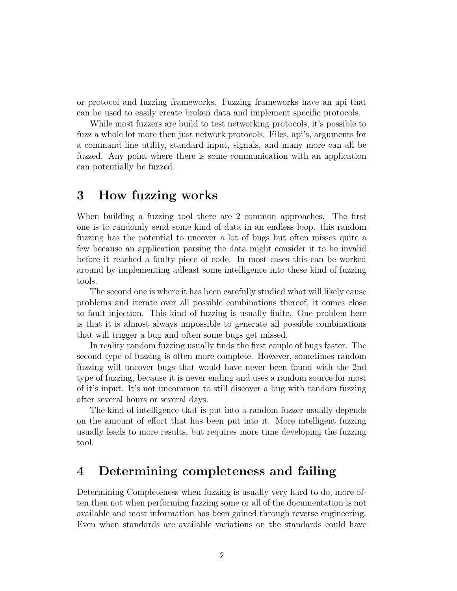or protocol and fuzzing frameworks. Fuzzing frameworks have an api that can be used to easily create broken data and implement specific protocols.

While most fuzzers are build to test networking protocols, it's possible to fuzz a whole lot more then just network protocols. Files, api's, arguments for a command line utility, standard input, signals, and many more can all be fuzzed. Any point where there is some communication with an application can potentially be fuzzed.

### 3 How fuzzing works

When building a fuzzing tool there are 2 common approaches. The first one is to randomly send some kind of data in an endless loop. this random fuzzing has the potential to uncover a lot of bugs but often misses quite a few because an application parsing the data might consider it to be invalid before it reached a faulty piece of code. In most cases this can be worked around by implementing adleast some intelligence into these kind of fuzzing tools.

The second one is where it has been carefully studied what will likely cause problems and iterate over all possible combinations thereof, it comes close to fault injection. This kind of fuzzing is usually finite. One problem here is that it is almost always impossible to generate all possible combinations that will trigger a bug and often some bugs get missed.

In reality random fuzzing usually finds the first couple of bugs faster. The second type of fuzzing is often more complete. However, sometimes random fuzzing will uncover bugs that would have never been found with the 2nd type of fuzzing, because it is never ending and uses a random source for most of it's input. It's not uncommon to still discover a bug with random fuzzing after several hours or several days.

The kind of intelligence that is put into a random fuzzer usually depends on the amount of effort that has been put into it. More intelligent fuzzing usually leads to more results, but requires more time developing the fuzzing tool.

#### 4 Determining completeness and failing

Determining Completeness when fuzzing is usually very hard to do, more often then not when performing fuzzing some or all of the documentation is not available and most information has been gained through reverse engineering. Even when standards are available variations on the standards could have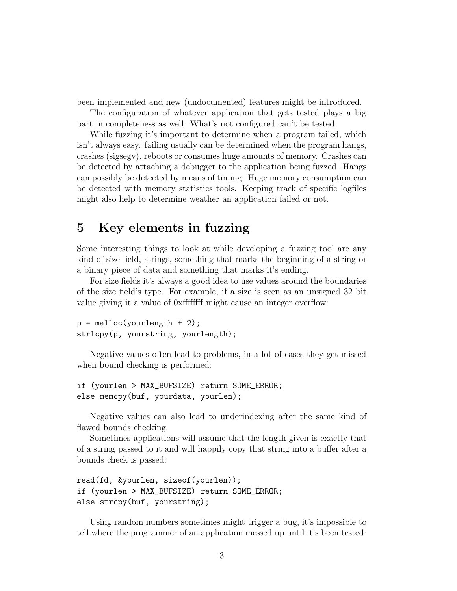been implemented and new (undocumented) features might be introduced.

The configuration of whatever application that gets tested plays a big part in completeness as well. What's not configured can't be tested.

While fuzzing it's important to determine when a program failed, which isn't always easy. failing usually can be determined when the program hangs, crashes (sigsegv), reboots or consumes huge amounts of memory. Crashes can be detected by attaching a debugger to the application being fuzzed. Hangs can possibly be detected by means of timing. Huge memory consumption can be detected with memory statistics tools. Keeping track of specific logfiles might also help to determine weather an application failed or not.

## 5 Key elements in fuzzing

Some interesting things to look at while developing a fuzzing tool are any kind of size field, strings, something that marks the beginning of a string or a binary piece of data and something that marks it's ending.

For size fields it's always a good idea to use values around the boundaries of the size field's type. For example, if a size is seen as an unsigned 32 bit value giving it a value of 0xffffffff might cause an integer overflow:

```
p = \text{malloc}(yourlength + 2);strlcpy(p, yourstring, yourlength);
```
Negative values often lead to problems, in a lot of cases they get missed when bound checking is performed:

```
if (yourlen > MAX_BUFSIZE) return SOME_ERROR;
else memcpy(buf, yourdata, yourlen);
```
Negative values can also lead to underindexing after the same kind of flawed bounds checking.

Sometimes applications will assume that the length given is exactly that of a string passed to it and will happily copy that string into a buffer after a bounds check is passed:

```
read(fd, &yourlen, sizeof(yourlen));
if (yourlen > MAX_BUFSIZE) return SOME_ERROR;
else strcpy(buf, yourstring);
```
Using random numbers sometimes might trigger a bug, it's impossible to tell where the programmer of an application messed up until it's been tested: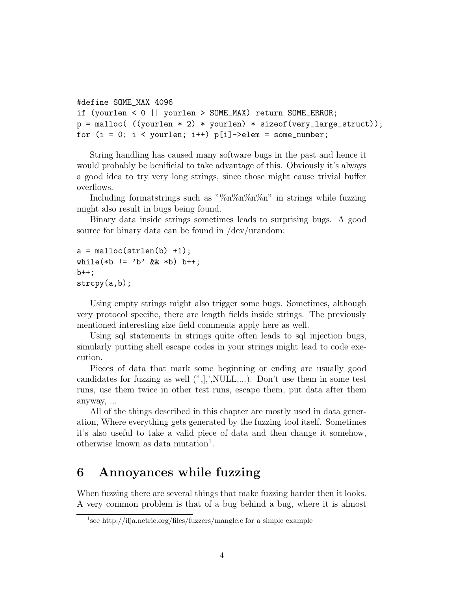```
#define SOME_MAX 4096
if (yourlen < 0 || yourlen > SOME_MAX) return SOME_ERROR;
p = \text{malloc}(\ ((\text{yourlen} * 2) * \text{yourlen}) * \text{sizeof}(\text{very\_large\_struct}));for (i = 0; i < yourlen; i++) p[i]->elem = some_number;
```
String handling has caused many software bugs in the past and hence it would probably be benificial to take advantage of this. Obviously it's always a good idea to try very long strings, since those might cause trivial buffer overflows.

Including formatstrings such as " $\%n\%n\%n\%n\%n$ " in strings while fuzzing might also result in bugs being found.

Binary data inside strings sometimes leads to surprising bugs. A good source for binary data can be found in /dev/urandom:

```
a = malloc(strlen(b) +1);
while(*b != 'b' && *b) b++;
b++;strcpy(a,b);
```
Using empty strings might also trigger some bugs. Sometimes, although very protocol specific, there are length fields inside strings. The previously mentioned interesting size field comments apply here as well.

Using sql statements in strings quite often leads to sql injection bugs, simularly putting shell escape codes in your strings might lead to code execution.

Pieces of data that mark some beginning or ending are usually good candidates for fuzzing as well  $('',',', NULL,...)$ . Don't use them in some test runs, use them twice in other test runs, escape them, put data after them anyway, ...

All of the things described in this chapter are mostly used in data generation, Where everything gets generated by the fuzzing tool itself. Sometimes it's also useful to take a valid piece of data and then change it somehow, otherwise known as data mutation<sup>1</sup>.

## 6 Annoyances while fuzzing

When fuzzing there are several things that make fuzzing harder then it looks. A very common problem is that of a bug behind a bug, where it is almost

<sup>1</sup> see http://ilja.netric.org/files/fuzzers/mangle.c for a simple example